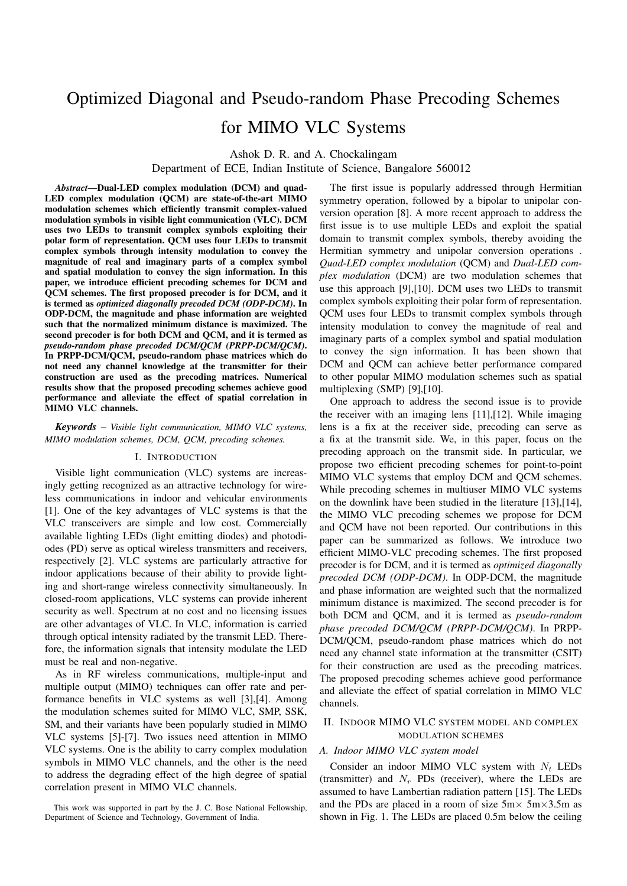# Optimized Diagonal and Pseudo-random Phase Precoding Schemes

# for MIMO VLC Systems

Ashok D. R. and A. Chockalingam

Department of ECE, Indian Institute of Science, Bangalore 560012

*Abstract*—Dual-LED complex modulation (DCM) and quad-LED complex modulation (QCM) are state-of-the-art MIMO modulation schemes which efficiently transmit complex-valued modulation symbols in visible light communication (VLC). DCM uses two LEDs to transmit complex symbols exploiting their polar form of representation. QCM uses four LEDs to transmit complex symbols through intensity modulation to convey the magnitude of real and imaginary parts of a complex symbol and spatial modulation to convey the sign information. In this paper, we introduce efficient precoding schemes for DCM and QCM schemes. The first proposed precoder is for DCM, and it is termed as *optimized diagonally precoded DCM (ODP-DCM)*. In ODP-DCM, the magnitude and phase information are weighted such that the normalized minimum distance is maximized. The second precoder is for both DCM and QCM, and it is termed as *pseudo-random phase precoded DCM/QCM (PRPP-DCM/QCM)*. In PRPP-DCM/QCM, pseudo-random phase matrices which do not need any channel knowledge at the transmitter for their construction are used as the precoding matrices. Numerical results show that the proposed precoding schemes achieve good performance and alleviate the effect of spatial correlation in MIMO VLC channels.

*Keywords* – *Visible light communication, MIMO VLC systems, MIMO modulation schemes, DCM, QCM, precoding schemes.*

# I. INTRODUCTION

Visible light communication (VLC) systems are increasingly getting recognized as an attractive technology for wireless communications in indoor and vehicular environments [1]. One of the key advantages of VLC systems is that the VLC transceivers are simple and low cost. Commercially available lighting LEDs (light emitting diodes) and photodiodes (PD) serve as optical wireless transmitters and receivers, respectively [2]. VLC systems are particularly attractive for indoor applications because of their ability to provide lighting and short-range wireless connectivity simultaneously. In closed-room applications, VLC systems can provide inherent security as well. Spectrum at no cost and no licensing issues are other advantages of VLC. In VLC, information is carried through optical intensity radiated by the transmit LED. Therefore, the information signals that intensity modulate the LED must be real and non-negative.

As in RF wireless communications, multiple-input and multiple output (MIMO) techniques can offer rate and performance benefits in VLC systems as well [3],[4]. Among the modulation schemes suited for MIMO VLC, SMP, SSK, SM, and their variants have been popularly studied in MIMO VLC systems [5]-[7]. Two issues need attention in MIMO VLC systems. One is the ability to carry complex modulation symbols in MIMO VLC channels, and the other is the need to address the degrading effect of the high degree of spatial correlation present in MIMO VLC channels.

The first issue is popularly addressed through Hermitian symmetry operation, followed by a bipolar to unipolar conversion operation [8]. A more recent approach to address the first issue is to use multiple LEDs and exploit the spatial domain to transmit complex symbols, thereby avoiding the Hermitian symmetry and unipolar conversion operations . *Quad-LED complex modulation* (QCM) and *Dual-LED complex modulation* (DCM) are two modulation schemes that use this approach [9],[10]. DCM uses two LEDs to transmit complex symbols exploiting their polar form of representation. QCM uses four LEDs to transmit complex symbols through intensity modulation to convey the magnitude of real and imaginary parts of a complex symbol and spatial modulation to convey the sign information. It has been shown that DCM and QCM can achieve better performance compared to other popular MIMO modulation schemes such as spatial multiplexing (SMP) [9],[10].

One approach to address the second issue is to provide the receiver with an imaging lens [11],[12]. While imaging lens is a fix at the receiver side, precoding can serve as a fix at the transmit side. We, in this paper, focus on the precoding approach on the transmit side. In particular, we propose two efficient precoding schemes for point-to-point MIMO VLC systems that employ DCM and QCM schemes. While precoding schemes in multiuser MIMO VLC systems on the downlink have been studied in the literature [13],[14], the MIMO VLC precoding schemes we propose for DCM and QCM have not been reported. Our contributions in this paper can be summarized as follows. We introduce two efficient MIMO-VLC precoding schemes. The first proposed precoder is for DCM, and it is termed as *optimized diagonally precoded DCM (ODP-DCM)*. In ODP-DCM, the magnitude and phase information are weighted such that the normalized minimum distance is maximized. The second precoder is for both DCM and QCM, and it is termed as *pseudo-random phase precoded DCM/QCM (PRPP-DCM/QCM)*. In PRPP-DCM/QCM, pseudo-random phase matrices which do not need any channel state information at the transmitter (CSIT) for their construction are used as the precoding matrices. The proposed precoding schemes achieve good performance and alleviate the effect of spatial correlation in MIMO VLC channels.

# II. INDOOR MIMO VLC SYSTEM MODEL AND COMPLEX MODULATION SCHEMES

# *A. Indoor MIMO VLC system model*

Consider an indoor MIMO VLC system with  $N_t$  LEDs (transmitter) and  $N_r$  PDs (receiver), where the LEDs are assumed to have Lambertian radiation pattern [15]. The LEDs and the PDs are placed in a room of size 5m*×* 5m*×*3.5m as shown in Fig. 1. The LEDs are placed 0.5m below the ceiling

This work was supported in part by the J. C. Bose National Fellowship, Department of Science and Technology, Government of India.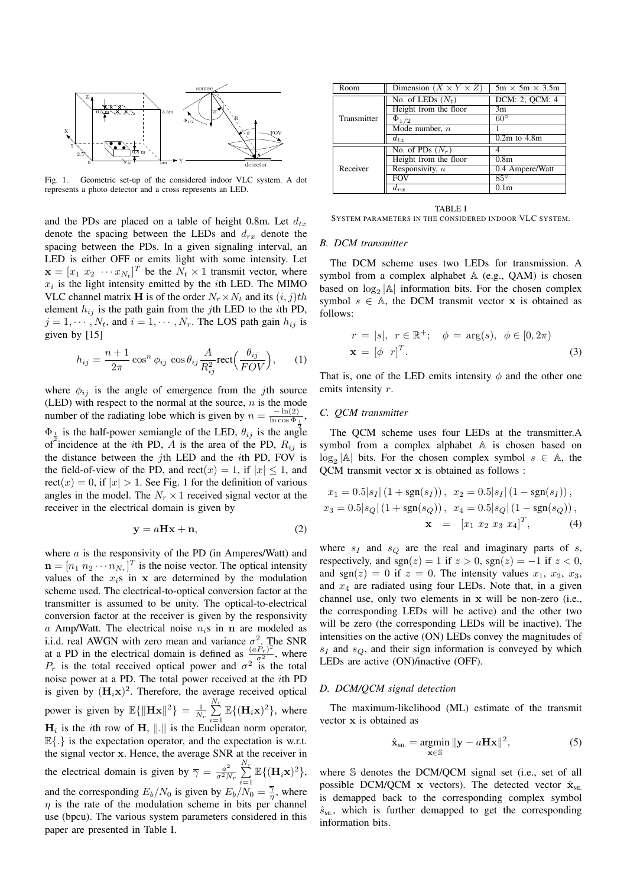

Fig. 1. Geometric set-up of the considered indoor VLC system. A dot represents a photo detector and a cross represents an LED.

and the PDs are placed on a table of height 0.8m. Let *dtx* denote the spacing between the LEDs and *drx* denote the spacing between the PDs. In a given signaling interval, an LED is either OFF or emits light with some intensity. Let  $\mathbf{x} = [x_1 \ x_2 \ \cdots x_{N_t}]^T$  be the  $N_t \times 1$  transmit vector, where  $x_i$  is the light intensity emitted by the *i*th LED. The MIMO VLC channel matrix **H** is of the order  $N_r \times N_t$  and its  $(i, j)$ th element  $h_{ij}$  is the path gain from the *j*th LED to the *i*th PD,  $j = 1, \dots, N_t$ , and  $i = 1, \dots, N_r$ . The LOS path gain  $h_{ij}$  is given by [15]

$$
h_{ij} = \frac{n+1}{2\pi} \cos^n \phi_{ij} \cos \theta_{ij} \frac{A}{R_{ij}^2} \text{rect}\Big(\frac{\theta_{ij}}{FOV}\Big), \qquad (1)
$$

where  $\phi_{ij}$  is the angle of emergence from the *j*th source (LED) with respect to the normal at the source, *n* is the mode number of the radiating lobe which is given by  $n = \frac{-\ln(2)}{\ln \cos \Phi_1}$ ,  $\Phi_{\frac{1}{2}}$  is the half-power semiangle of the LED,  $\theta_{ij}$  is the angle of incidence at the *i*th PD,  $\overline{A}$  is the area of the PD,  $R_{ij}$  is the distance between the *j*th LED and the *i*th PD, FOV is the field-of-view of the PD, and  $rect(x) = 1$ , if  $|x| \le 1$ , and  $rect(x) = 0$ , if  $|x| > 1$ . See Fig. 1 for the definition of various angles in the model. The  $N_r \times 1$  received signal vector at the receiver in the electrical domain is given by

$$
y = aHx + n,\t\t(2)
$$

where *a* is the responsivity of the PD (in Amperes/Watt) and  $\mathbf{n} = [n_1 \ n_2 \cdots n_{N_r}]^T$  is the noise vector. The optical intensity values of the  $x_i$ s in **x** are determined by the modulation scheme used. The electrical-to-optical conversion factor at the transmitter is assumed to be unity. The optical-to-electrical conversion factor at the receiver is given by the responsivity *a* Amp/Watt. The electrical noise *ni*s in **n** are modeled as i.i.d. real AWGN with zero mean and variance  $\sigma^2$ . The SNR at a PD in the electrical domain is defined as  $\frac{(aP_r)^2}{\sigma^2}$ , where  $P_r$  is the total received optical power and  $\sigma^2$  is the total noise power at a PD. The total power received at the *i*th PD is given by  $(\mathbf{H}_i \mathbf{x})^2$ . Therefore, the average received optical power is given by  $\mathbb{E}\{\|\mathbf{Hx}\|^2\} = \frac{1}{N_r} \sum_{i=1}^{N_r}$  $\sum_{i=1}^{n} \mathbb{E}\{(\mathbf{H}_i \mathbf{x})^2\}$ , where **H***<sup>i</sup>* is the *i*th row of **H**, *∥.∥* is the Euclidean norm operator, E*{.}* is the expectation operator, and the expectation is w.r.t. the signal vector **x**. Hence, the average SNR at the receiver in the electrical domain is given by  $\overline{\gamma} = \frac{a^2}{\sigma^2 \overline{\gamma}}$  $\frac{a^2}{\sigma^2 N_r} \sum_{r=1}^{N_r}$  $\sum_{i=1}^{n} \mathbb{E}\{(\mathbf{H}_i\mathbf{x})^2\},\$ and the corresponding  $E_b/N_0$  is given by  $E_b/N_0 = \frac{\overline{\gamma}}{\eta}$ , where  $\eta$  is the rate of the modulation scheme in bits per channel use (bpcu). The various system parameters considered in this paper are presented in Table I.

| Room        | Dimension $(X \times Y \times Z)$ | $5m \times 5m \times 3.5m$ |
|-------------|-----------------------------------|----------------------------|
| Transmitter | No. of LEDs $(N_t)$               | DCM: 2; OCM: 4             |
|             | Height from the floor             | 3m                         |
|             | $\Phi_{1/2}$                      | $60^{\circ}$               |
|             | Mode number, $n$                  |                            |
|             | $d_{tx}$                          | $0.2m$ to $4.8m$           |
| Receiver    | No. of PDs $(N_r)$                |                            |
|             | Height from the floor             | 0.8 <sub>m</sub>           |
|             | Responsivity, $\overline{a}$      | 0.4 Ampere/Watt            |
|             | <b>FOV</b>                        | $85^\circ$                 |
|             | $d_{rx}$                          | 0.1 <sub>m</sub>           |

TABLE I SYSTEM PARAMETERS IN THE CONSIDERED INDOOR VLC SYSTEM.

#### *B. DCM transmitter*

The DCM scheme uses two LEDs for transmission. A symbol from a complex alphabet  $A$  (e.g., QAM) is chosen based on  $log_2 |\mathbb{A}|$  information bits. For the chosen complex symbol  $s \in A$ , the DCM transmit vector **x** is obtained as follows:

$$
r = |s|, r \in \mathbb{R}^+; \quad \phi = \arg(s), \quad \phi \in [0, 2\pi)
$$

$$
\mathbf{x} = [\phi \quad r]^T. \tag{3}
$$

That is, one of the LED emits intensity  $\phi$  and the other one emits intensity *r*.

# *C. QCM transmitter*

The QCM scheme uses four LEDs at the transmitter.A symbol from a complex alphabet A is chosen based on  $log_2$  |A| bits. For the chosen complex symbol  $s \in A$ , the QCM transmit vector **x** is obtained as follows :

$$
x_1 = 0.5|s_I| (1 + sgn(s_I)), \quad x_2 = 0.5|s_I| (1 - sgn(s_I)),
$$
  
\n
$$
x_3 = 0.5|s_Q| (1 + sgn(s_Q)), \quad x_4 = 0.5|s_Q| (1 - sgn(s_Q)),
$$
  
\n
$$
\mathbf{x} = [x_1 \ x_2 \ x_3 \ x_4]^T, \quad (4)
$$

where *s<sup>I</sup>* and *s<sup>Q</sup>* are the real and imaginary parts of *s*, respectively, and  $sgn(z) = 1$  if  $z > 0$ ,  $sgn(z) = -1$  if  $z < 0$ , and sgn( $z$ ) = 0 if  $z = 0$ . The intensity values  $x_1, x_2, x_3$ , and *x*<sup>4</sup> are radiated using four LEDs. Note that, in a given channel use, only two elements in **x** will be non-zero (i.e., the corresponding LEDs will be active) and the other two will be zero (the corresponding LEDs will be inactive). The intensities on the active (ON) LEDs convey the magnitudes of *s<sup>I</sup>* and *sQ*, and their sign information is conveyed by which LEDs are active (ON)/inactive (OFF).

# *D. DCM/QCM signal detection*

The maximum-likelihood (ML) estimate of the transmit vector **x** is obtained as

$$
\hat{\mathbf{x}}_{\text{ML}} = \underset{\mathbf{x} \in \mathbb{S}}{\operatorname{argmin}} \|\mathbf{y} - a\mathbf{H}\mathbf{x}\|^2, \tag{5}
$$

where S denotes the DCM/QCM signal set (i.e., set of all possible DCM/QCM **x** vectors). The detected vector  $\hat{\mathbf{x}}_M$ is demapped back to the corresponding complex symbol  $\hat{s}_{ML}$ , which is further demapped to get the corresponding information bits.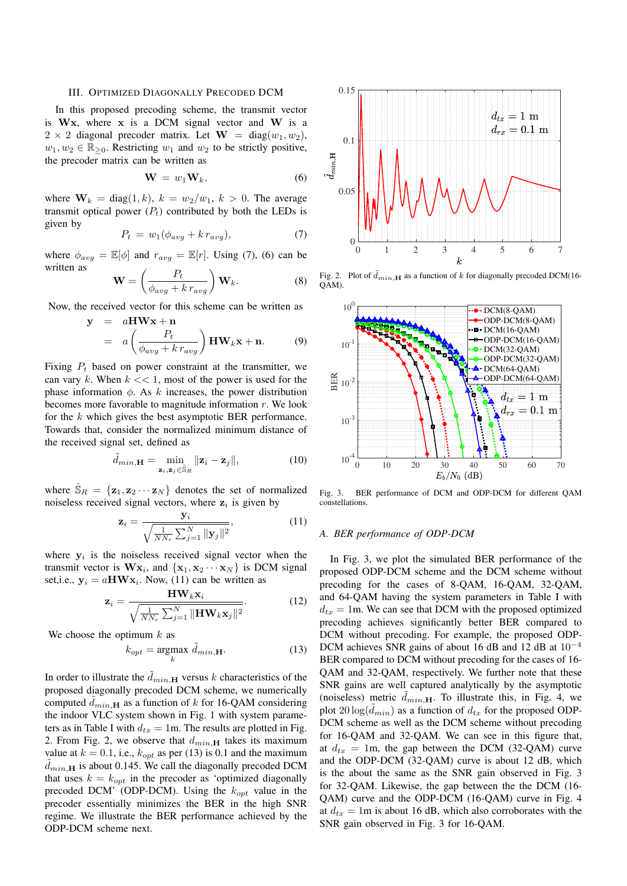#### III. OPTIMIZED DIAGONALLY PRECODED DCM

In this proposed precoding scheme, the transmit vector is **Wx**, where **x** is a DCM signal vector and **W** is a  $2 \times 2$  diagonal precoder matrix. Let **W** = diag $(w_1, w_2)$ ,  $w_1, w_2 \in \mathbb{R}_{\geq 0}$ . Restricting  $w_1$  and  $w_2$  to be strictly positive, the precoder matrix can be written as

$$
\mathbf{W} = w_1 \mathbf{W}_k, \tag{6}
$$

where  $\mathbf{W}_k = \text{diag}(1, k)$ ,  $k = w_2/w_1$ ,  $k > 0$ . The average transmit optical power  $(P_t)$  contributed by both the LEDs is given by

$$
P_t = w_1(\phi_{avg} + k r_{avg}), \tag{7}
$$

where  $\phi_{avg} = \mathbb{E}[\phi]$  and  $r_{avg} = \mathbb{E}[r]$ . Using (7), (6) can be written as

$$
\mathbf{W} = \left(\frac{P_t}{\phi_{avg} + k r_{avg}}\right) \mathbf{W}_k.
$$
 (8)

Now, the received vector for this scheme can be written as

$$
\mathbf{y} = a\mathbf{H}\mathbf{W}\mathbf{x} + \mathbf{n}
$$
  
=  $a \left( \frac{P_t}{\phi_{avg} + k r_{avg}} \right) \mathbf{H}\mathbf{W}_k \mathbf{x} + \mathbf{n}.$  (9)

Fixing  $P_t$  based on power constraint at the transmitter, we can vary  $k$ . When  $k \ll 1$ , most of the power is used for the phase information  $\phi$ . As *k* increases, the power distribution becomes more favorable to magnitude information *r*. We look for the *k* which gives the best asymptotic BER performance. Towards that, consider the normalized minimum distance of the received signal set, defined as

$$
\tilde{d}_{min,\mathbf{H}} = \min_{\mathbf{z}_i, \mathbf{z}_j \in \hat{\mathbb{S}}_R} \|\mathbf{z}_i - \mathbf{z}_j\|,
$$
(10)

where  $\hat{S}_R = {\mathbf{z}_1, \mathbf{z}_2 \cdots \mathbf{z}_N}$  denotes the set of normalized noiseless received signal vectors, where  $z_i$  is given by

$$
\mathbf{z}_i = \frac{\mathbf{y}_i}{\sqrt{\frac{1}{NN_r} \sum_{j=1}^N ||\mathbf{y}_j||^2}},\tag{11}
$$

where  $y_i$  is the noiseless received signal vector when the transmit vector is  $\mathbf{W} \mathbf{x}_i$ , and  $\{ \mathbf{x}_1, \mathbf{x}_2 \cdots \mathbf{x}_N \}$  is DCM signal set, i.e.,  $y_i = aHWx_i$ . Now, (11) can be written as

$$
\mathbf{z}_{i} = \frac{\mathbf{H}\mathbf{W}_{k}\mathbf{x}_{i}}{\sqrt{\frac{1}{NN_{r}}\sum_{j=1}^{N} \|\mathbf{H}\mathbf{W}_{k}\mathbf{x}_{j}\|^{2}}}.
$$
 (12)

We choose the optimum *k* as

$$
k_{opt} = \underset{k}{\text{argmax}} \ \tilde{d}_{min, \mathbf{H}}.
$$
 (13)

In order to illustrate the  $\tilde{d}_{min, \mathbf{H}}$  versus *k* characteristics of the proposed diagonally precoded DCM scheme, we numerically computed  $d_{min, \mathbf{H}}$  as a function of *k* for 16-QAM considering the indoor VLC system shown in Fig. 1 with system parameters as in Table I with  $d_{tx} = 1$ m. The results are plotted in Fig. 2. From Fig. 2, we observe that  $d_{min, \mathbf{H}}$  takes its maximum value at  $k = 0.1$ , i.e.,  $k_{opt}$  as per (13) is 0.1 and the maximum  $\tilde{d}_{min, H}$  is about 0.145. We call the diagonally precoded DCM that uses  $k = k_{opt}$  in the precoder as 'optimized diagonally precoded DCM' (ODP-DCM). Using the *kopt* value in the precoder essentially minimizes the BER in the high SNR regime. We illustrate the BER performance achieved by the ODP-DCM scheme next.



Fig. 2. Plot of  $\tilde{d}_{min,\mathbf{H}}$  as a function of *k* for diagonally precoded DCM(16-QAM).



Fig. 3. BER performance of DCM and ODP-DCM for different QAM constellations.

# *A. BER performance of ODP-DCM*

In Fig. 3, we plot the simulated BER performance of the proposed ODP-DCM scheme and the DCM scheme without precoding for the cases of 8-QAM, 16-QAM, 32-QAM, and 64-QAM having the system parameters in Table I with  $d_{tx} = 1$ m. We can see that DCM with the proposed optimized precoding achieves significantly better BER compared to DCM without precoding. For example, the proposed ODP-DCM achieves SNR gains of about 16 dB and 12 dB at 10*−*<sup>4</sup> BER compared to DCM without precoding for the cases of 16- QAM and 32-QAM, respectively. We further note that these SNR gains are well captured analytically by the asymptotic (noiseless) metric  $d_{min, \mathbf{H}}$ . To illustrate this, in Fig. 4, we plot  $20 \log(\tilde{d}_{min})$  as a function of  $d_{tx}$  for the proposed ODP-DCM scheme as well as the DCM scheme without precoding for 16-QAM and 32-QAM. We can see in this figure that, at  $d_{tx} = 1$ m, the gap between the DCM (32-QAM) curve and the ODP-DCM (32-QAM) curve is about 12 dB, which is the about the same as the SNR gain observed in Fig. 3 for 32-QAM. Likewise, the gap between the the DCM (16- QAM) curve and the ODP-DCM (16-QAM) curve in Fig. 4 at  $d_{tx} = 1$ m is about 16 dB, which also corroborates with the SNR gain observed in Fig. 3 for 16-QAM.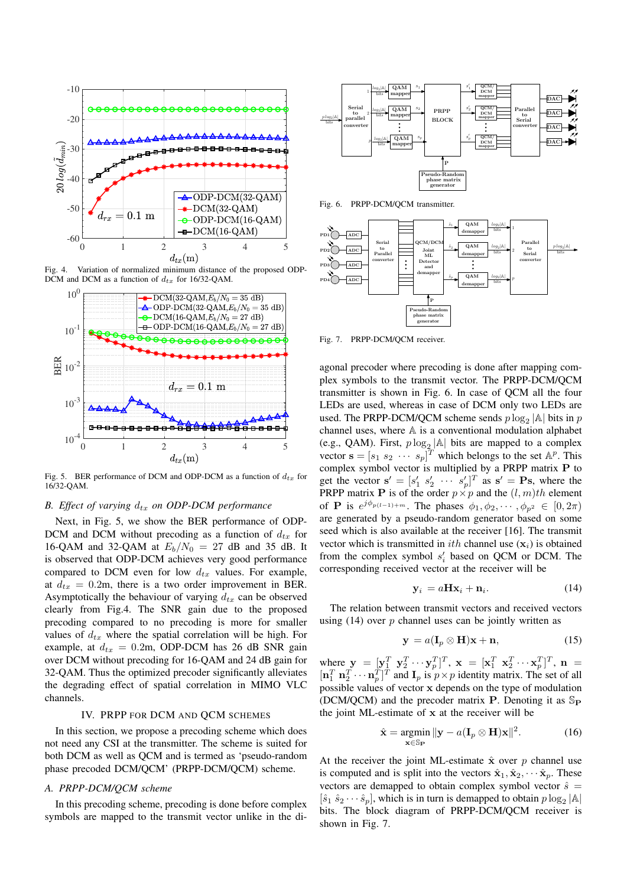

Fig. 4. Variation of normalized minimum distance of the proposed ODP-DCM and DCM as a function of *dtx* for 16/32-QAM.



Fig. 5. BER performance of DCM and ODP-DCM as a function of *dtx* for 16/32-QAM.

# *B. Effect of varying dtx on ODP-DCM performance*

Next, in Fig. 5, we show the BER performance of ODP-DCM and DCM without precoding as a function of  $d_{tx}$  for 16-QAM and 32-QAM at  $E_b/N_0 = 27$  dB and 35 dB. It is observed that ODP-DCM achieves very good performance compared to DCM even for low  $d_{tx}$  values. For example, at  $d_{tx} = 0.2$ m, there is a two order improvement in BER. Asymptotically the behaviour of varying  $d_{tx}$  can be observed clearly from Fig.4. The SNR gain due to the proposed precoding compared to no precoding is more for smaller values of  $d_{tx}$  where the spatial correlation will be high. For example, at  $d_{tx} = 0.2$ m, ODP-DCM has 26 dB SNR gain over DCM without precoding for 16-QAM and 24 dB gain for 32-QAM. Thus the optimized precoder significantly alleviates the degrading effect of spatial correlation in MIMO VLC channels.

# IV. PRPP FOR DCM AND QCM SCHEMES

In this section, we propose a precoding scheme which does not need any CSI at the transmitter. The scheme is suited for both DCM as well as QCM and is termed as 'pseudo-random phase precoded DCM/QCM' (PRPP-DCM/QCM) scheme.

# *A. PRPP-DCM/QCM scheme*

In this precoding scheme, precoding is done before complex symbols are mapped to the transmit vector unlike in the di-



Fig. 6. PRPP-DCM/QCM transmitter.



Fig. 7. PRPP-DCM/QCM receiver.

agonal precoder where precoding is done after mapping complex symbols to the transmit vector. The PRPP-DCM/QCM transmitter is shown in Fig. 6. In case of QCM all the four LEDs are used, whereas in case of DCM only two LEDs are used. The PRPP-DCM/QCM scheme sends  $p \log_2 |\mathbb{A}|$  bits in  $p$ channel uses, where A is a conventional modulation alphabet (e.g., QAM). First,  $p \log_2 |\mathbb{A}|$  bits are mapped to a complex vector  $\mathbf{s} = [s_1 \ s_2 \ \cdots \ s_p]^T$  which belongs to the set  $\mathbb{A}^p$ . This complex symbol vector is multiplied by a PRPP matrix **P** to get the vector  $\mathbf{s}' = [s'_1 \ s'_2 \ \cdots \ s'_p]^T$  as  $\mathbf{s}' = \mathbf{P}\mathbf{s}$ , where the **PRPP** matrix **P** is of the order  $p \times p$  and the  $(l, m)$ th element of **P** is  $e^{j\phi_{p(l-1)+m}}$ . The phases  $\phi_1, \phi_2, \dots, \phi_{p^2} \in [0, 2\pi)$ are generated by a pseudo-random generator based on some seed which is also available at the receiver [16]. The transmit vector which is transmitted in *ith* channel use  $(\mathbf{x}_i)$  is obtained from the complex symbol *s ′ i* based on QCM or DCM. The corresponding received vector at the receiver will be

$$
\mathbf{y}_i = a\mathbf{H}\mathbf{x}_i + \mathbf{n}_i. \tag{14}
$$

The relation between transmit vectors and received vectors using (14) over *p* channel uses can be jointly written as

$$
y = a(I_p \otimes H)x + n,\tag{15}
$$

where  $\mathbf{y} = [\mathbf{y}_1^T \ \mathbf{y}_2^T \cdots \mathbf{y}_p^T]^T$ ,  $\mathbf{x} = [\mathbf{x}_1^T \ \mathbf{x}_2^T \cdots \mathbf{x}_p^T]^T$ ,  $\mathbf{n} =$  $[\mathbf{n}_1^T \ \mathbf{n}_2^T \cdots \mathbf{n}_p^T]^T$  and  $\mathbf{I}_p$  is  $p \times p$  identity matrix. The set of all possible values of vector **x** depends on the type of modulation (DCM/QCM) and the precoder matrix  $P$ . Denoting it as  $\mathbb{S}_P$ the joint ML-estimate of **x** at the receiver will be

$$
\hat{\mathbf{x}} = \underset{\mathbf{x} \in \mathbb{S}_{\mathbf{P}}}{\operatorname{argmin}} \|\mathbf{y} - a(\mathbf{I}_p \otimes \mathbf{H})\mathbf{x}\|^2. \tag{16}
$$

At the receiver the joint ML-estimate  $\hat{x}$  over  $p$  channel use is computed and is split into the vectors  $\hat{\mathbf{x}}_1, \hat{\mathbf{x}}_2, \dots, \hat{\mathbf{x}}_n$ . These vectors are demapped to obtain complex symbol vector  $\hat{s} =$  $[\hat{s}_1 \ \hat{s}_2 \cdots \hat{s}_p]$ , which is in turn is demapped to obtain  $p \log_2 |\mathbb{A}|$ bits. The block diagram of PRPP-DCM/QCM receiver is shown in Fig. 7.